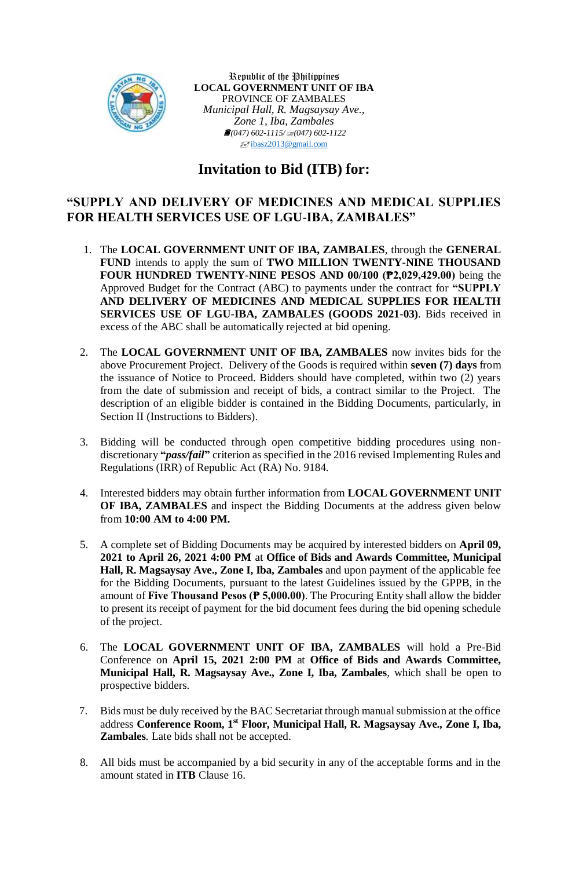

Republic of the Philippines **LOCAL GOVERNMENT UNIT OF IBA** PROVINCE OF ZAMBALES *Municipal Hall, R. Magsaysay Ave., Zone 1, Iba, Zambales (047) 602-1115/(047) 602-1122*  $\sqrt{\frac{1}{2}}$ [ibasz2013@gmail.com](mailto:ibasz2013@gmail.com)

## **Invitation to Bid (ITB) for:**

## **"SUPPLY AND DELIVERY OF MEDICINES AND MEDICAL SUPPLIES FOR HEALTH SERVICES USE OF LGU-IBA, ZAMBALES"**

- 1. The **LOCAL GOVERNMENT UNIT OF IBA, ZAMBALES**, through the **GENERAL FUND** intends to apply the sum of **TWO MILLION TWENTY-NINE THOUSAND FOUR HUNDRED TWENTY-NINE PESOS AND 00/100 (₱2,029,429.00)** being the Approved Budget for the Contract (ABC) to payments under the contract for **"SUPPLY AND DELIVERY OF MEDICINES AND MEDICAL SUPPLIES FOR HEALTH SERVICES USE OF LGU-IBA, ZAMBALES (GOODS 2021-03)**. Bids received in excess of the ABC shall be automatically rejected at bid opening.
- 2. The **LOCAL GOVERNMENT UNIT OF IBA, ZAMBALES** now invites bids for the above Procurement Project. Delivery of the Goods is required within **seven (7) days** from the issuance of Notice to Proceed. Bidders should have completed, within two (2) years from the date of submission and receipt of bids, a contract similar to the Project. The description of an eligible bidder is contained in the Bidding Documents, particularly, in Section II (Instructions to Bidders).
- 3. Bidding will be conducted through open competitive bidding procedures using nondiscretionary **"***pass/fail***"** criterion as specified in the 2016 revised Implementing Rules and Regulations (IRR) of Republic Act (RA) No. 9184.
- 4. Interested bidders may obtain further information from **LOCAL GOVERNMENT UNIT OF IBA, ZAMBALES** and inspect the Bidding Documents at the address given below from **10:00 AM to 4:00 PM.**
- 5. A complete set of Bidding Documents may be acquired by interested bidders on **April 09, 2021 to April 26, 2021 4:00 PM** at **Office of Bids and Awards Committee, Municipal Hall, R. Magsaysay Ave., Zone I, Iba, Zambales** and upon payment of the applicable fee for the Bidding Documents, pursuant to the latest Guidelines issued by the GPPB, in the amount of **Five Thousand Pesos (₱ 5,000.00)**. The Procuring Entity shall allow the bidder to present its receipt of payment for the bid document fees during the bid opening schedule of the project.
- 6. The **LOCAL GOVERNMENT UNIT OF IBA, ZAMBALES** will hold a Pre-Bid Conference on **April 15, 2021 2:00 PM** at **Office of Bids and Awards Committee, Municipal Hall, R. Magsaysay Ave., Zone I, Iba, Zambales***,* which shall be open to prospective bidders.
- 7. Bids must be duly received by the BAC Secretariat through manual submission at the office address **Conference Room, 1 st Floor, Municipal Hall, R. Magsaysay Ave., Zone I, Iba, Zambales***.* Late bids shall not be accepted.
- 8. All bids must be accompanied by a bid security in any of the acceptable forms and in the amount stated in **ITB** Clause 16.